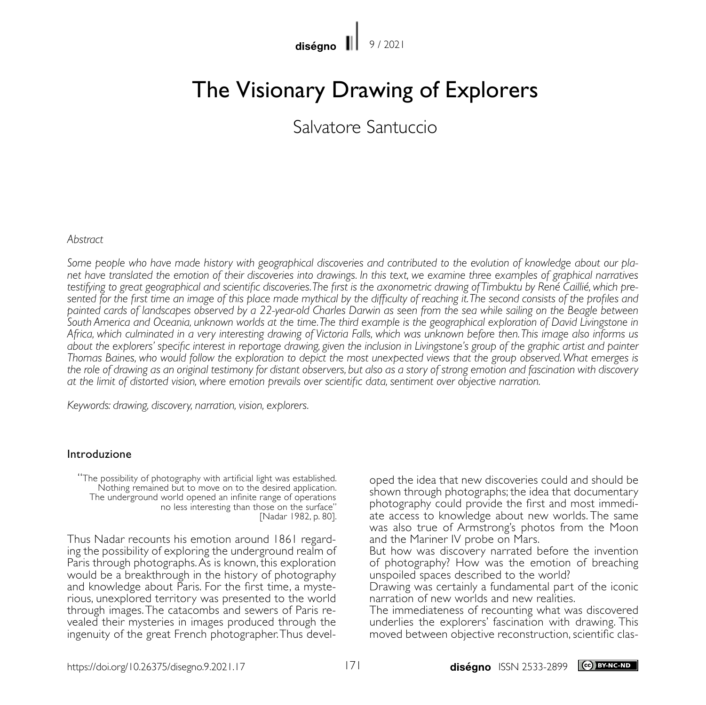diséano II 9 / 2021

# The Visionary Drawing of Explorers

Salvatore Santuccio

#### *Abstract*

*Some people who have made history with geographical discoveries and contributed to the evolution of knowledge about our planet have translated the emotion of their discoveries into drawings. In this text, we examine three examples of graphical narratives testifying to great geographical and scientific discoveries. The first is the axonometric drawing of Timbuktu by René Caillié, which pre*sented for the first time an image of this place made mythical by the difficulty of reaching it. The second consists of the profiles and *painted cards of landscapes observed by a 22-year-old Charles Darwin as seen from the sea while sailing on the Beagle between South America and Oceania, unknown worlds at the time. The third example is the geographical exploration of David Livingstone in Africa, which culminated in a very interesting drawing of Victoria Falls, which was unknown before then. This image also informs us about the explorers' specific interest in reportage drawing, given the inclusion in Livingstone's group of the graphic artist and painter Thomas Baines, who would follow the exploration to depict the most unexpected views that the group observed. What emerges is the role of drawing as an original testimony for distant observers, but also as a story of strong emotion and fascination with discovery at the limit of distorted vision, where emotion prevails over scientific data, sentiment over objective narration.*

*Keywords: drawing, discovery, narration, vision, explorers.*

### Introduzione

"The possibility of photography with artificial light was established. Nothing remained but to move on to the desired application. The underground world opened an infinite range of operations no less interesting than those on the surface" [Nadar 1982, p. 80].

Thus Nadar recounts his emotion around 1861 regard- ing the possibility of exploring the underground realm of Paris through photographs. As is known, this exploration would be a breakthrough in the history of photography and knowledge about Paris. For the first time, a mysterious, unexplored territory was presented to the world through images. The catacombs and sewers of Paris revealed their mysteries in images produced through the ingenuity of the great French photographer. Thus developed the idea that new discoveries could and should be shown through photographs; the idea that documentary photography could provide the first and most immedi- ate access to knowledge about new worlds. The same was also true of Armstrong's photos from the Moon and the Mariner IV probe on Mars.

But how was discovery narrated before the invention of photography? How was the emotion of breaching unspoiled spaces described to the world?

Drawing was certainly a fundamental part of the iconic narration of new worlds and new realities.

The immediateness of recounting what was discovered underlies the explorers' fascination with drawing. This moved between objective reconstruction, scientific clas-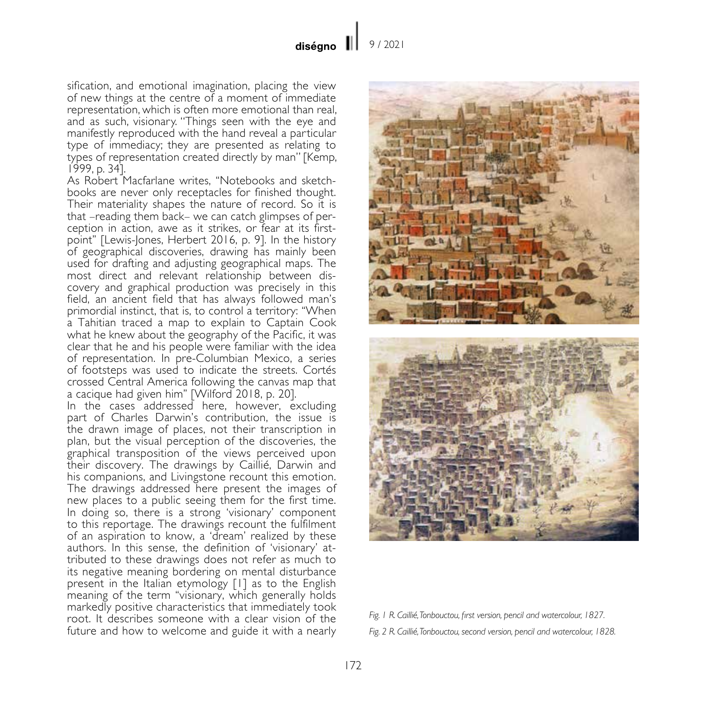sification, and emotional imagination, placing the view of new things at the centre of a moment of immediate representation, which is often more emotional than real, and as such, visionary. "Things seen with the eye and manifestly reproduced with the hand reveal a particular type of immediacy; they are presented as relating to types of representation created directly by man" [Kemp, 1999, p. 34].

As Robert Macfarlane writes, "Notebooks and sketchbooks are never only receptacles for finished thought. Their materiality shapes the nature of record. So it is that –reading them back– we can catch glimpses of perception in action, awe as it strikes, or fear at its firstpoint" [Lewis-Jones, Herbert 2016, p. 9]. In the history of geographical discoveries, drawing has mainly been used for drafting and adjusting geographical maps. The most direct and relevant relationship between discovery and graphical production was precisely in this field, an ancient field that has always followed man's primordial instinct, that is, to control a territory: "When a Tahitian traced a map to explain to Captain Cook what he knew about the geography of the Pacific, it was clear that he and his people were familiar with the idea of representation. In pre-Columbian Mexico, a series of footsteps was used to indicate the streets. Cortés crossed Central America following the canvas map that a cacique had given him" [Wilford 2018, p. 20].

In the cases addressed here, however, excluding part of Charles Darwin's contribution, the issue is the drawn image of places, not their transcription in plan, but the visual perception of the discoveries, the graphical transposition of the views perceived upon their discovery. The drawings by Caillié, Darwin and his companions, and Livingstone recount this emotion. The drawings addressed here present the images of new places to a public seeing them for the first time. In doing so, there is a strong 'visionary' component to this reportage. The drawings recount the fulfilment of an aspiration to know, a 'dream' realized by these authors. In this sense, the definition of 'visionary' attributed to these drawings does not refer as much to its negative meaning bordering on mental disturbance present in the Italian etymology [1] as to the English meaning of the term "visionary, which generally holds markedly positive characteristics that immediately took root. It describes someone with a clear vision of the future and how to welcome and guide it with a nearly



*Fig. 1 R. Caillié, Tonbouctou, first version, pencil and watercolour, 1827. Fig. 2 R. Caillié, Tonbouctou, second version, pencil and watercolour, 1828.*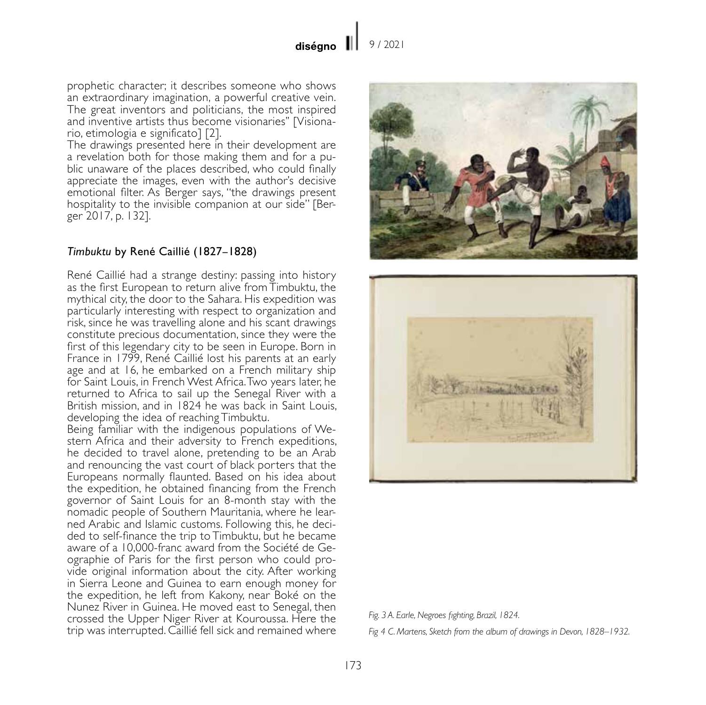prophetic character; it describes someone who shows an extraordinary imagination, a powerful creative vein. The great inventors and politicians, the most inspired and inventive artists thus become visionaries" [Visionario, etimologia e significato] [2].

The drawings presented here in their development are a revelation both for those making them and for a public unaware of the places described, who could finally appreciate the images, even with the author's decisive emotional filter. As Berger says, "the drawings present hospitality to the invisible companion at our side" [Berger 2017, p. 132].

## *Timbuktu* by René Caillié (1827–1828)

René Caillié had a strange destiny: passing into history as the first European to return alive from Timbuktu, the mythical city, the door to the Sahara. His expedition was particularly interesting with respect to organization and risk, since he was travelling alone and his scant drawings constitute precious documentation, since they were the first of this legendary city to be seen in Europe. Born in France in 1799, René Caillié lost his parents at an early age and at 16, he embarked on a French military ship for Saint Louis, in French West Africa. Two years later, he returned to Africa to sail up the Senegal River with a British mission, and in 1824 he was back in Saint Louis, developing the idea of reaching Timbuktu.

Being familiar with the indigenous populations of Western Africa and their adversity to French expeditions, he decided to travel alone, pretending to be an Arab and renouncing the vast court of black porters that the Europeans normally flaunted. Based on his idea about the expedition, he obtained financing from the French governor of Saint Louis for an 8-month stay with the nomadic people of Southern Mauritania, where he learned Arabic and Islamic customs. Following this, he decided to self-finance the trip to Timbuktu, but he became aware of a 10,000-franc award from the Société de Geographie of Paris for the first person who could provide original information about the city. After working in Sierra Leone and Guinea to earn enough money for the expedition, he left from Kakony, near Boké on the Nunez River in Guinea. He moved east to Senegal, then crossed the Upper Niger River at Kouroussa. Here the trip was interrupted. Caillié fell sick and remained where





#### *Fig. 3 A. Earle, Negroes fighting, Brazil, 1824.*

*Fig 4 C. Martens, Sketch from the album of drawings in Devon, 1828–1932.*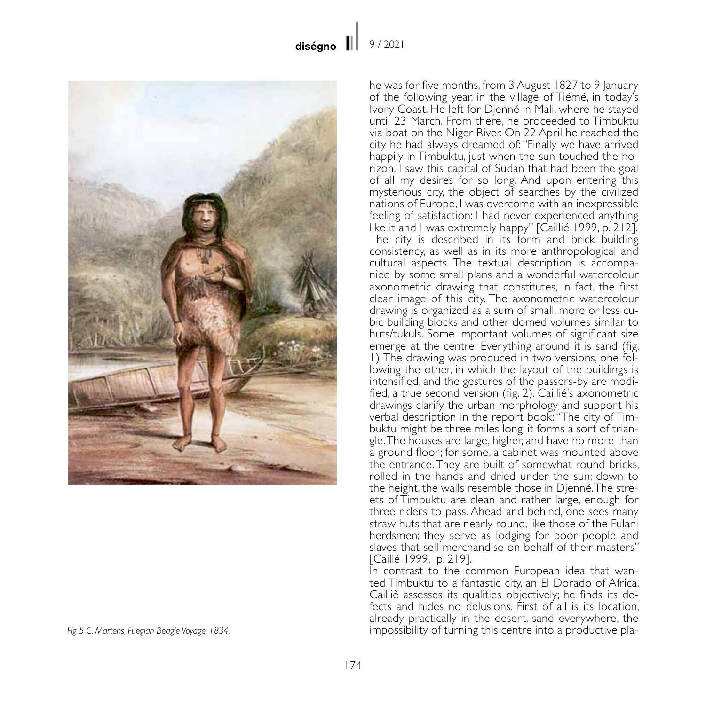

he was for five months, from 3 August 1827 to 9 January of the following year, in the village of Tiémé, in today's Ivory Coast. He left for Dienné in Mali, where he stayed until 23 March. From there, he proceeded to Timbuktu via boat on the Niger River. On 22 April he reached the city he had always dreamed of: "Finally we have arrived happily in Timbuktu, just when the sun touched the ho rizon, I saw this capital of Sudan that had been the goal of all my desires for so long. And upon entering this mysterious city, the object of searches by the civilized nations of Europe, I was overcome with an inexpressible feeling of satisfaction: I had never experienced anything like it and I was extremely happy" [Caillié 1999, p. 212]. The city is described in its form and brick building consistency, as well as in its more anthropological and cultural aspects. The textual description is accompa nied by some small plans and a wonderful watercolour axonometric drawing that constitutes, in fact, the first clear image of this city. The axonometric watercolour drawing is organized as a sum of small, more or less cu bic building blocks and other domed volumes similar to huts/tukuls. Some important volumes of significant size emerge at the centre. Everything around it is sand (fig. 1). The drawing was produced in two versions, one fol lowing the other, in which the layout of the buildings is intensified, and the gestures of the passers-by are modi fied, a true second version (fig. 2). Caillié's axonometric drawings clarify the urban morphology and support his verbal description in the report book: "The city of Tim-<br>buktu might be three miles long: it forms a sort of triangle. The houses are large, higher, and have no more than a ground floor; for some, a cabinet was mounted above the entrance. They are built of somewhat round bricks, rolled in the hands and dried under the sun; down to the height, the walls resemble those in Djenné. The stre ets of Timbuktu are clean and rather large, enough for three riders to pass. Ahead and behind, one sees many straw huts that are nearly round, like those of the Fulani herdsmen; they serve as lodging for poor people and slaves that sell merchandise on behalf of their masters" [Caillé 1999, p. 219].

In contrast to the common European idea that wanted Timbuktu to a fantastic city, an El Dorado of Africa, Cailliè assesses its qualities objectively; he finds its de fects and hides no delusions. First of all is its location, already practically in the desert, sand everywhere, the *Fig 5 C. Martens, Fuegian Beagle Voyage, 1834.* impossibility of turning this centre into a productive pla -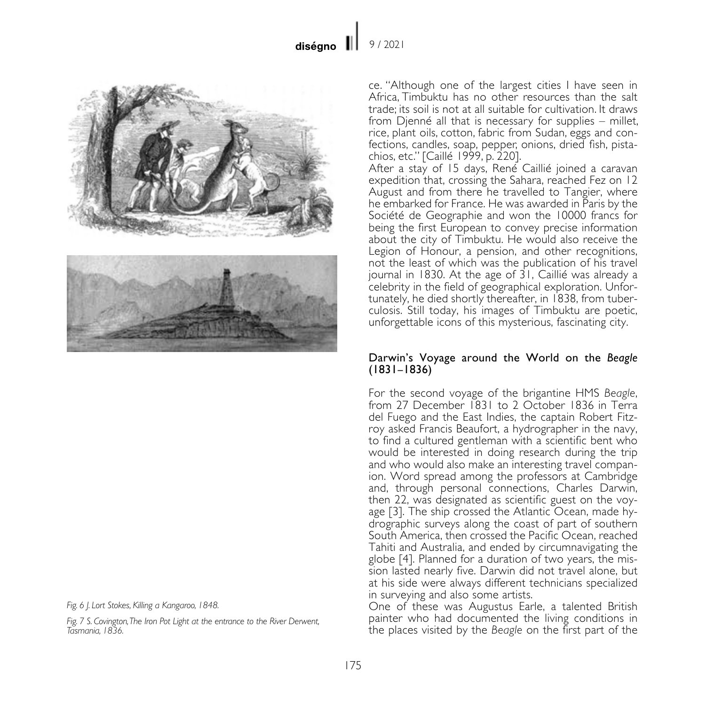



*Fig. 6 J. Lort Stokes, Killing a Kangaroo, 1848.*

*Fig. 7 S. Covington, The Iron Pot Light at the entrance to the River Derwent, Tasmania, 1836.*

ce. "Although one of the largest cities I have seen in Africa, Timbuktu has no other resources than the salt trade; its soil is not at all suitable for cultivation. It draws from Dienné all that is necessary for supplies – millet, rice, plant oils, cotton, fabric from Sudan, eggs and confections, candles, soap, pepper, onions, dried fish, pistachios, etc." [Caillé 1999, p. 220].

After a stay of 15 days, René Caillié joined a caravan expedition that, crossing the Sahara, reached Fez on 12 August and from there he travelled to Tangier, where he embarked for France. He was awarded in Paris by the Société de Geographie and won the 10000 francs for being the first European to convey precise information about the city of Timbuktu. He would also receive the Legion of Honour, a pension, and other recognitions, not the least of which was the publication of his travel journal in 1830. At the age of 31, Caillié was already a celebrity in the field of geographical exploration. Unfortunately, he died shortly thereafter, in 1838, from tuberculosis. Still today, his images of Timbuktu are poetic, unforgettable icons of this mysterious, fascinating city.

## Darwin's Voyage around the World on the *Beagle*  (1831–1836)

For the second voyage of the brigantine HMS *Beagle*, from 27 December 1831 to 2 October 1836 in Terra del Fuego and the East Indies, the captain Robert Fitz- roy asked Francis Beaufort, a hydrographer in the navy, to find a cultured gentleman with a scientific bent who would be interested in doing research during the trip and who would also make an interesting travel compan- ion. Word spread among the professors at Cambridge and, through personal connections, Charles Darwin, then 22, was designated as scientific guest on the voy- age [3]. The ship crossed the Atlantic Ocean, made hydrographic surveys along the coast of part of southern South America, then crossed the Pacific Ocean, reached Tahiti and Australia, and ended by circumnavigating the globe [4]. Planned for a duration of two years, the mission lasted nearly five. Darwin did not travel alone, but at his side were always different technicians specialized in surveying and also some artists.

One of these was Augustus Earle, a talented British painter who had documented the living conditions in the places visited by the *Beagle* on the first part of the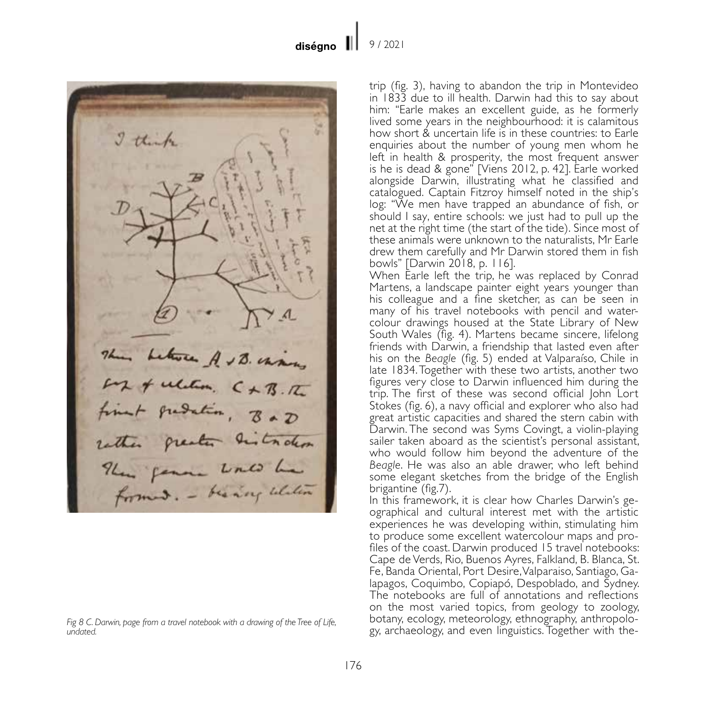I think Letre A & B. canones<br>of ulation, C + B. The penne unto he formed . - being whiten

*Fig 8 C. Darwin, page from a travel notebook with a drawing of the Tree of Life, undated.*

trip (fig. 3), having to abandon the trip in Montevideo in 1833 due to ill health. Darwin had this to say about him: "Earle makes an excellent guide, as he formerly lived some years in the neighbourhood: it is calamitous how short & uncertain life is in these countries: to Earle enquiries about the number of young men whom he left in health & prosperity, the most frequent answer is he is dead & gone" [Viens 2012, p. 42]. Earle worked alongside Darwin, illustrating what he classified and catalogued. Captain Fitzroy himself noted in the ship's log: "We men have trapped an abundance of fish, or should I say, entire schools: we just had to pull up the net at the right time (the start of the tide). Since most of these animals were unknown to the naturalists, Mr Earle drew them carefully and Mr Darwin stored them in fish bowls" [Darwin 2018, p. 116].

When Earle left the trip, he was replaced by Conrad Martens, a landscape painter eight years younger than his colleague and a fine sketcher, as can be seen in colour drawings housed at the State Library of New South Wales (fig. 4). Martens became sincere, lifelong friends with Darwin, a friendship that lasted even after his on the *Beagle* (fig. 5) ended at Valparaíso, Chile in late 1834. Together with these two artists, another two figures very close to Darwin influenced him during the trip. The first of these was second official John Lort Stokes (fig. 6), a navy official and explorer who also had great artistic capacities and shared the stern cabin with Darwin. The second was Syms Covingt, a violin-playing sailer taken aboard as the scientist's personal assistant, who would follow him beyond the adventure of the *Beagle*. He was also an able drawer, who left behind some elegant sketches from the bridge of the English

brigantine (fig.7).<br>In this framework, it is clear how Charles Darwin's geographical and cultural interest met with the artistic experiences he was developing within, stimulating him to produce some excellent watercolour maps and profiles of the coast. Darwin produced 15 travel notebooks: Cape de Verds, Rio, Buenos Ayres, Falkland, B. Blanca, St. Fe, Banda Oriental, Port Desire, Valparaiso, Santiago, Galapagos, Coquimbo, Copiapó, Despoblado, and Sydney. The notebooks are full of annotations and reflections on the most varied topics, from geology to zoology, botany, ecology, meteorology, ethnography, anthropology, archaeology, and even linguistics. Together with the-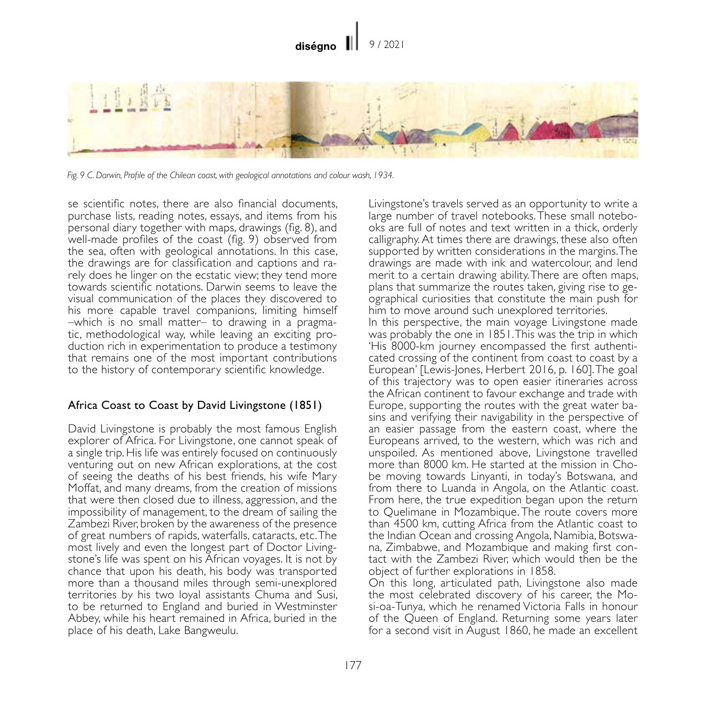#### diségno II 9 / 2021



*Fig. 9 C. Darwin, Profile of the Chilean coast, with geological annotations and colour wash, 1934.*

se scientific notes, there are also financial documents, purchase lists, reading notes, essays, and items from his personal diary together with maps, drawings (fig. 8), and well-made profiles of the coast (fig. 9) observed from the sea, often with geological annotations. In this case, the drawings are for classification and captions and rarely does he linger on the ecstatic view; they tend more towards scientific notations. Darwin seems to leave the visual communication of the places they discovered to his more capable travel companions, limiting himself –which is no small matter– to drawing in a pragmatic, methodological way, while leaving an exciting production rich in experimentation to produce a testimony that remains one of the most important contributions to the history of contemporary scientific knowledge.

# Africa Coast to Coast by David Livingstone (1851)

David Livingstone is probably the most famous English explorer of Africa. For Livingstone, one cannot speak of a single trip. His life was entirely focused on continuously venturing out on new African explorations, at the cost of seeing the deaths of his best friends, his wife Mary Moffat, and many dreams, from the creation of missions that were then closed due to illness, aggression, and the impossibility of management, to the dream of sailing the Zambezi River, broken by the awareness of the presence of great numbers of rapids, waterfalls, cataracts, etc. The most lively and even the longest part of Doctor Livingstone's life was spent on his African voyages. It is not by chance that upon his death, his body was transported more than a thousand miles through semi-unexplored territories by his two loyal assistants Chuma and Susi, to be returned to England and buried in Westminster Abbey, while his heart remained in Africa, buried in the place of his death, Lake Bangweulu.

Livingstone's travels served as an opportunity to write a large number of travel notebooks. These small notebooks are full of notes and text written in a thick, orderly calligraphy. At times there are drawings, these also often supported by written considerations in the margins. The drawings are made with ink and watercolour, and lend merit to a certain drawing ability. There are often maps, plans that summarize the routes taken, giving rise to geographical curiosities that constitute the main push for him to move around such unexplored territories. In this perspective, the main voyage Livingstone made was probably the one in 1851. This was the trip in which 'His 8000-km journey encompassed the first authenticated crossing of the continent from coast to coast by a European' [Lewis-Jones, Herbert 2016, p. 160]. The goal of this trajectory was to open easier itineraries across the African continent to favour exchange and trade with Europe, supporting the routes with the great water basins and verifying their navigability in the perspective of an easier passage from the eastern coast, where the Europeans arrived, to the western, which was rich and unspoiled. As mentioned above, Livingstone travelled more than 8000 km. He started at the mission in Chobe moving towards Linyanti, in today's Botswana, and from there to Luanda in Angola, on the Atlantic coast. From here, the true expedition began upon the return to Quelimane in Mozambique. The route covers more than 4500 km, cutting Africa from the Atlantic coast to the Indian Ocean and crossing Angola, Namibia, Botswana, Zimbabwe, and Mozambique and making first contact with the Zambezi River, which would then be the object of further explorations in 1858.

On this long, articulated path, Livingstone also made si-oa-Tunya, which he renamed Victoria Falls in honour of the Queen of England. Returning some years later for a second visit in August 1860, he made an excellent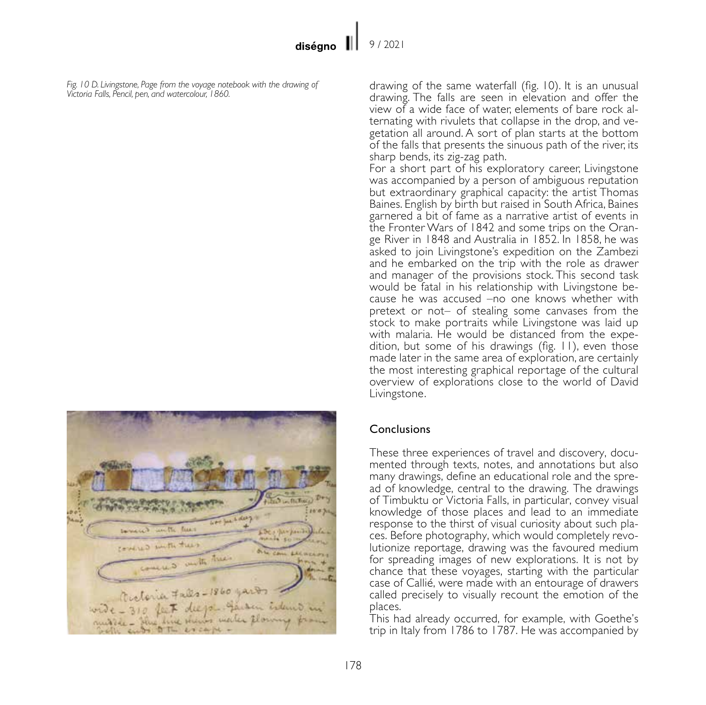*Fig. 10 D. Livingstone, Page from the voyage notebook with the drawing of Victoria Falls, Pencil, pen, and watercolour, 1860.*



drawing of the same waterfall (fig. 10). It is an unusual drawing. The falls are seen in elevation and offer the view of a wide face of water, elements of bare rock alternating with rivulets that collapse in the drop, and vegetation all around. A sort of plan starts at the bottom of the falls that presents the sinuous path of the river, its sharp bends, its zig-zag path.

For a short part of his exploratory career, Livingstone was accompanied by a person of ambiguous reputation but extraordinary graphical capacity: the artist Thomas Baines. English by birth but raised in South Africa, Baines garnered a bit of fame as a narrative artist of events in the Fronter Wars of 1842 and some trips on the Orange River in 1848 and Australia in 1852. In 1858, he was asked to join Livingstone's expedition on the Zambezi and he embarked on the trip with the role as drawer and manager of the provisions stock. This second task would be fatal in his relationship with Livingstone because he was accused –no one knows whether with pretext or not– of stealing some canvases from the stock to make portraits while Livingstone was laid up with malaria. He would be distanced from the expedition, but some of his drawings (fig. 11), even those made later in the same area of exploration, are certainly the most interesting graphical reportage of the cultural overview of explorations close to the world of David Livingstone.

# **Conclusions**

These three experiences of travel and discovery, documented through texts, notes, and annotations but also many drawings, define an educational role and the spread of knowledge, central to the drawing. The drawings of Timbuktu or Victoria Falls, in particular, convey visual knowledge of those places and lead to an immediate response to the thirst of visual curiosity about such places. Before photography, which would completely revolutionize reportage, drawing was the favoured medium for spreading images of new explorations. It is not by chance that these voyages, starting with the particular case of Callié, were made with an entourage of drawers called precisely to visually recount the emotion of the places.

This had already occurred, for example, with Goethe's trip in Italy from 1786 to 1787. He was accompanied by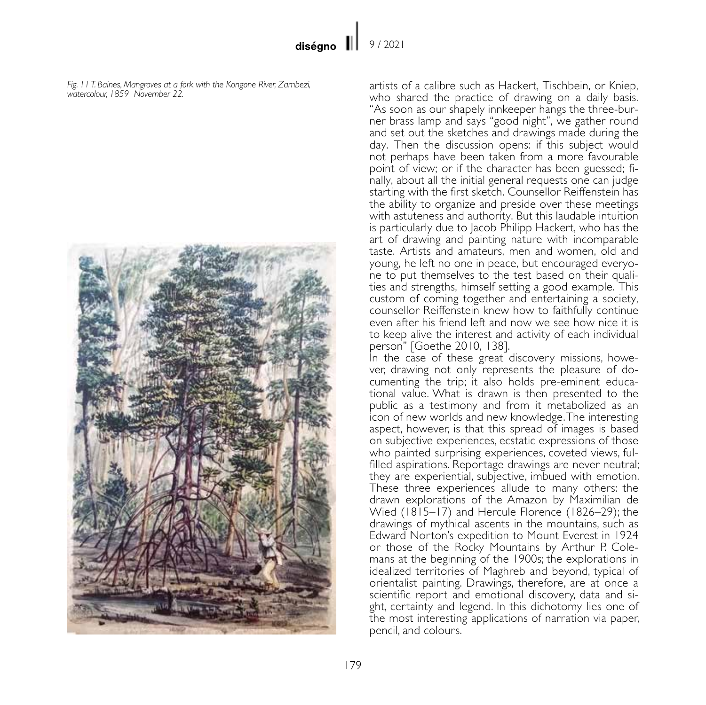*Fig. 11 T. Baines, Mangroves at a fork with the Kongone River, Zambezi, watercolour, 1859 November 22.*



artists of a calibre such as Hackert, Tischbein, or Kniep, who shared the practice of drawing on a daily basis. "As soon as our shapely innkeeper hangs the three-burner brass lamp and says "good night", we gather round and set out the sketches and drawings made during the day. Then the discussion opens: if this subject would not perhaps have been taken from a more favourable point of view; or if the character has been guessed; finally, about all the initial general requests one can judge starting with the first sketch. Counsellor Reiffenstein has the ability to organize and preside over these meetings with astuteness and authority. But this laudable intuition is particularly due to Jacob Philipp Hackert, who has the art of drawing and painting nature with incomparable taste. Artists and amateurs, men and women, old and young, he left no one in peace, but encouraged everyone to put themselves to the test based on their qualities and strengths, himself setting a good example. This custom of coming together and entertaining a society, counsellor Reiffenstein knew how to faithfully continue even after his friend left and now we see how nice it is to keep alive the interest and activity of each individual person" [Goethe 2010, 138].<br>In the case of these great discovery missions, howe-

ver, drawing not only represents the pleasure of do-<br>cumenting the trip; it also holds pre-eminent educa-<br>tional value. What is drawn is then presented to the public as a testimony and from it metabolized as an icon of new worlds and new knowledge. The interesting aspect, however, is that this spread of images is based on subjective experiences, ecstatic expressions of those filled aspirations. Reportage drawings are never neutral; they are experiential, subjective, imbued with emotion. These three experiences allude to many others: the drawn explorations of the Amazon by Maximilian de Wied (1815–17) and Hercule Florence (1826–29); the drawings of mythical ascents in the mountains, such as Edward Norton's expedition to Mount Everest in 1924 or those of the Rocky Mountains by Arthur P. Colemans at the beginning of the 1900s; the explorations in idealized territories of Maghreb and beyond, typical of orientalist painting. Drawings, therefore, are at once a scientific report and emotional discovery, data and sight, certainty and legend. In this dichotomy lies one of the most interesting applications of narration via paper, pencil, and colours.